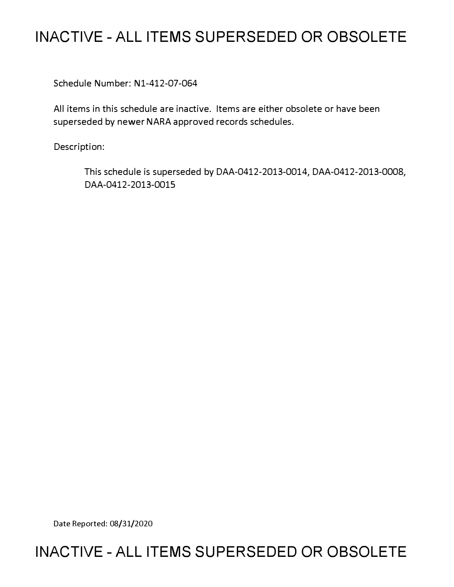# **INACTIVE - ALL ITEMS SUPERSEDED OR OBSOLETE**

Schedule Number: Nl-412-07-064

All items in this schedule are inactive. Items are either obsolete or have been superseded by newer NARA approved records schedules.

Description:

This schedule is superseded by DAA-0412-2013-0014, DAA-0412-2013-0008, DAA-0412-2013-0015

Date Reported: 08/31/2020

# **INACTIVE - ALL ITEMS SUPERSEDED OR OBSOLETE**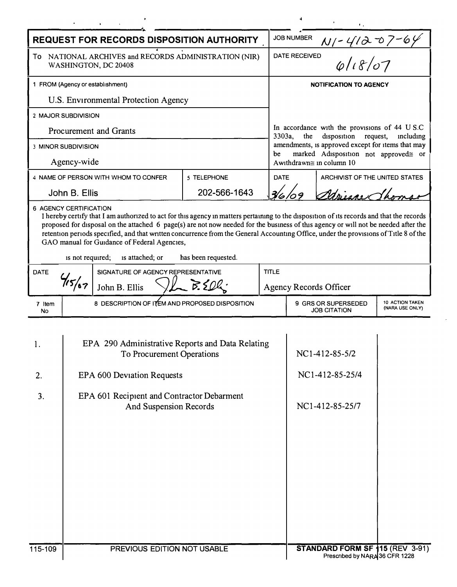| <b>REQUEST FOR RECORDS DISPOSITION AUTHORITY</b>                                                                                                                                                                                                                                                                                                                                                                                                                                                                                                                |                                                                                                                                                                                     |                                      |                   |  | <b>JOB NUMBER</b>                                                                                                                                                                                                                            |                                                                   |  |  |
|-----------------------------------------------------------------------------------------------------------------------------------------------------------------------------------------------------------------------------------------------------------------------------------------------------------------------------------------------------------------------------------------------------------------------------------------------------------------------------------------------------------------------------------------------------------------|-------------------------------------------------------------------------------------------------------------------------------------------------------------------------------------|--------------------------------------|-------------------|--|----------------------------------------------------------------------------------------------------------------------------------------------------------------------------------------------------------------------------------------------|-------------------------------------------------------------------|--|--|
| NATIONAL ARCHIVES and RECORDS ADMINISTRATION (NIR)<br>To<br>WASHINGTON, DC 20408                                                                                                                                                                                                                                                                                                                                                                                                                                                                                |                                                                                                                                                                                     |                                      |                   |  | $\frac{N}{4}$ $\frac{4120769}{N}$<br><b>DATE RECEIVED</b>                                                                                                                                                                                    |                                                                   |  |  |
| 1 FROM (Agency or establishment)                                                                                                                                                                                                                                                                                                                                                                                                                                                                                                                                |                                                                                                                                                                                     |                                      |                   |  | <b>NOTIFICATION TO AGENCY</b>                                                                                                                                                                                                                |                                                                   |  |  |
| U.S. Environmental Protection Agency                                                                                                                                                                                                                                                                                                                                                                                                                                                                                                                            |                                                                                                                                                                                     |                                      |                   |  |                                                                                                                                                                                                                                              |                                                                   |  |  |
| 2 MAJOR SUBDIVISION                                                                                                                                                                                                                                                                                                                                                                                                                                                                                                                                             |                                                                                                                                                                                     |                                      |                   |  |                                                                                                                                                                                                                                              |                                                                   |  |  |
| Procurement and Grants                                                                                                                                                                                                                                                                                                                                                                                                                                                                                                                                          |                                                                                                                                                                                     |                                      |                   |  | In accordance with the provisions of 44 U S.C<br>3303a,<br>the<br>disposition<br>request,<br>including<br>amendments, is approved except for items that may<br>marked Adisposition not approved≅ or<br>be<br>Awithdrawn $\cong$ in column 10 |                                                                   |  |  |
| <b>3 MINOR SUBDIVISION</b>                                                                                                                                                                                                                                                                                                                                                                                                                                                                                                                                      |                                                                                                                                                                                     |                                      |                   |  |                                                                                                                                                                                                                                              |                                                                   |  |  |
| Agency-wide                                                                                                                                                                                                                                                                                                                                                                                                                                                                                                                                                     |                                                                                                                                                                                     |                                      |                   |  |                                                                                                                                                                                                                                              |                                                                   |  |  |
|                                                                                                                                                                                                                                                                                                                                                                                                                                                                                                                                                                 |                                                                                                                                                                                     | 4 NAME OF PERSON WITH WHOM TO CONFER | 5 TELEPHONE       |  | <b>DATE</b>                                                                                                                                                                                                                                  | ARCHIVIST OF THE UNITED STATES                                    |  |  |
|                                                                                                                                                                                                                                                                                                                                                                                                                                                                                                                                                                 | John B. Ellis                                                                                                                                                                       |                                      | 202-566-1643      |  | Missour Th                                                                                                                                                                                                                                   |                                                                   |  |  |
| 6 AGENCY CERTIFICATION<br>I hereby certify that I am authorized to act for this agency in matters pertaining to the disposition of its records and that the records<br>proposed for disposal on the attached 6 page(s) are not now needed for the business of this agency or will not be needed after the<br>retention periods specified, and that written concurrence from the General Accounting Office, under the provisions of Title 8 of the<br>GAO manual for Guidance of Federal Agencies,<br>has been requested.<br>is not required;<br>is attached; or |                                                                                                                                                                                     |                                      |                   |  |                                                                                                                                                                                                                                              |                                                                   |  |  |
| <b>DATE</b>                                                                                                                                                                                                                                                                                                                                                                                                                                                                                                                                                     | SIGNATURE OF AGENCY REPRESENTATIVE                                                                                                                                                  |                                      | <b>TITLE</b>      |  |                                                                                                                                                                                                                                              |                                                                   |  |  |
|                                                                                                                                                                                                                                                                                                                                                                                                                                                                                                                                                                 |                                                                                                                                                                                     | John B. Ellis                        | $V_{\sim}$ B. SO. |  | <b>Agency Records Officer</b>                                                                                                                                                                                                                |                                                                   |  |  |
| 7 Item<br>No                                                                                                                                                                                                                                                                                                                                                                                                                                                                                                                                                    | 8 DESCRIPTION OF ITEM AND PROPOSED DISPOSITION                                                                                                                                      |                                      |                   |  | 9 GRS OR SUPERSEDED<br>10 ACTION TAKEN<br>(NARA USE ONLY)<br><b>JOB CITATION</b>                                                                                                                                                             |                                                                   |  |  |
| 1.<br>2.<br>3.                                                                                                                                                                                                                                                                                                                                                                                                                                                                                                                                                  | EPA 290 Administrative Reports and Data Relating<br>To Procurement Operations<br>EPA 600 Deviation Requests<br>EPA 601 Recipient and Contractor Debarment<br>And Suspension Records |                                      |                   |  |                                                                                                                                                                                                                                              | NC1-412-85-5/2<br>NC1-412-85-25/4<br>NC1-412-85-25/7              |  |  |
| 115-109                                                                                                                                                                                                                                                                                                                                                                                                                                                                                                                                                         | PREVIOUS EDITION NOT USABLE                                                                                                                                                         |                                      |                   |  |                                                                                                                                                                                                                                              | STANDARD FORM SF 115 (REV 3-91)<br>Prescribed by NARA 36 CFR 1228 |  |  |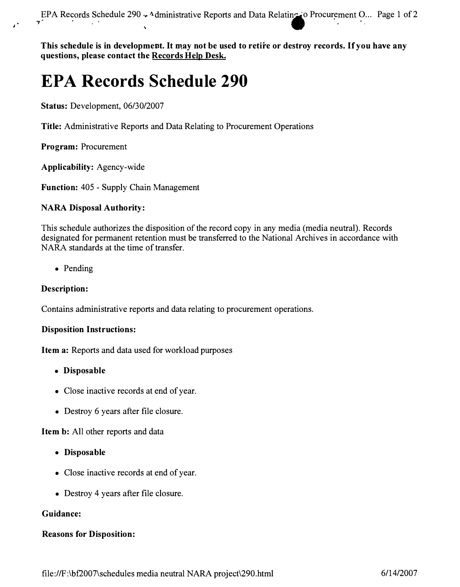This schedule is in development. It may not be used to retire or destroy records. If you have any **questions, please contact the RecQrds H\_elpJ)esk.** 

# **EPA Records Schedule 290**

**Status:** Development, 06/30/2007

**Title:** Administrative Reports and Data Relating to Procurement Operations

**Program:** Procurement

**Applicability:** Agency-wide

**Function:** 405 - Supply Chain Management

#### **NARA Disposal Authority:**

This schedule authorizes the disposition of the record copy in any media (media neutral). Records designated for permanent retention must be transferred to the National Archives in accordance with NARA standards at the time of transfer.

• Pending

#### **Description:**

Contains administrative reports and data relating to procurement operations.

#### **Disposition Instructions:**

**Item a:** Reports and data used for workload purposes

- **Disposable**
- Close inactive records at end of year.
- Destroy 6 years after file closure.

**Item b:** All other reports and data

- **Disposable**
- Close inactive records at end of year.
- Destroy 4 years after file closure.

#### **Guidance:**

#### **Reasons for Disposition:**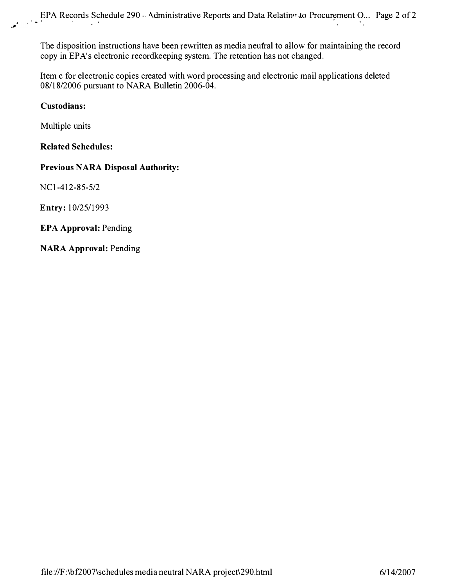The disposition instructions have been rewritten as media neutral to allow for maintaining the record **copy in EP A's electronic recordkeeping system. The retention has not changed.** 

**Item c for electronic copies created with word processing and electronic mail applications deleted 08/18/2006 pursuant to NARA Bulletin 2006-04.** 

### **Custodians:**

**Multiple units** 

# **Related Schedules:**

# **Previous NARA Disposal Authority:**

**NC 1-412-85-5/2** 

**Entry: 10/25/1993** 

# **EPA Approval: Pending**

**NARA Approval: Pending**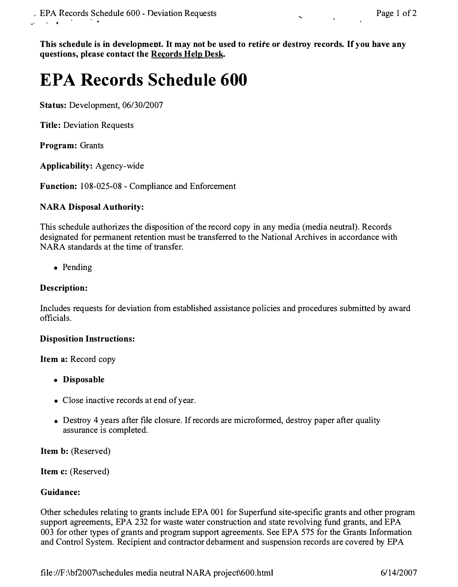This schedule is in development. It may not be used to retire or destroy records. If you have any questions, please contact the Records Help Desk.

# **EPA Records Schedule 600**

**Status: Development, 06/30/2007** 

**Title: Deviation Requests** 

**Program: Grants** 

**Applicability: Agency-wide** 

**Function: 108-025-08 - Compliance and Enforcement** 

# **NARA Disposal Authority:**

**This schedule authorizes the disposition of the record copy in any media (media neutral). Records designated for permanent retention must be transferred to the National Archives in accordance with NARA standards at the time of transfer.** 

**• Pending** 

# **Description:**

**Includes requests for deviation from established assistance policies and procedures submitted by award officials.** 

#### **Disposition Instructions:**

**Item a: Record copy** 

- **Disposable**
- **Close inactive records at end of year.**
- Destroy 4 years after file closure. If records are microformed, destroy paper after quality **assurance is completed.**

**Item b: (Reserved)** 

**Item c: (Reserved)** 

#### **Guidance:**

**Other schedules relating to grants include EPA 001 for Superfund site-specific grants and other program support agreements, EPA 232 for waste water construction and state revolving fund grants, and EPA 003 for other types of grants and program support agreements. See EPA 575 for the Grants Information and Control System. Recipient and contractor debarment and suspension records are covered by EPA**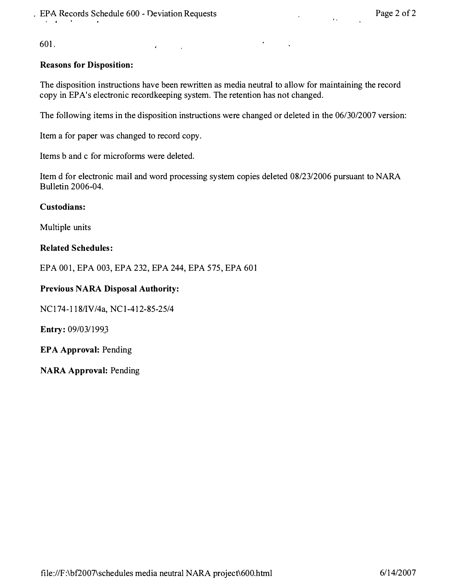$\lambda$ 

 $\sim 10^{11}$ 

**601.** 

### **Reasons for Disposition:**

**The disposition instructions have been rewritten as media neutral to allow for maintaining the record copy in EP A's electronic recordkeeping system. The retention has not changed.** 

 $\bullet$ 

**The following items in the disposition instructions were changed or deleted in the 06/30/2007 version:** 

**Item a for paper was changed to record copy.** 

**Items b and c for microforms were deleted.** 

**Item d for electronic mail and word processing system copies deleted 08/23/2006 pursuant to NARA Bulletin 2006-04.** 

#### **Custodians:**

**Multiple units** 

#### **Related Schedules:**

**EPA 001, EPA 003, EPA 232, EPA 244, EPA 575, EPA 601** 

#### **Previous NARA Disposal Authority:**

**NC 174-118/IV /4a, NC 1-412-85-25/4** 

**Entry: 09/03/l 99J** 

**EPA Approval: Pending** 

**NARA Approval: Pending**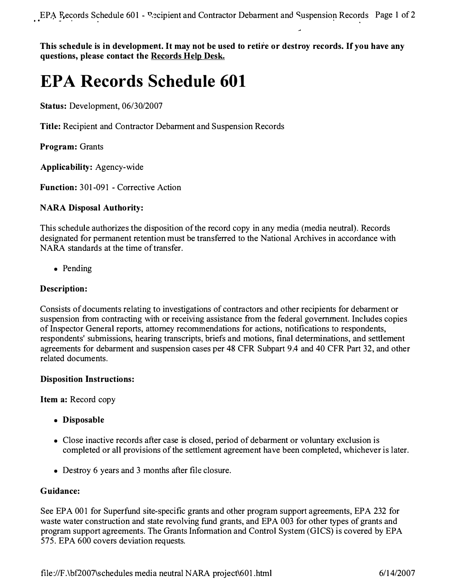**a, • .., O I o 1** 

This schedule is in development. It may not be used to retire or destroy records. If you have any **questions, please contact the Records Help Desk.** 

# **EPA Records Schedule 601**

**Status: Development, 06/30/2007** 

**Title: Recipient and Contractor Debarment and Suspension Records** 

**Program: Grants** 

**Applicability: Agency-wide** 

**Function: 301-091 - Corrective Action** 

# **NARA Disposal Authority:**

**This schedule authorizes the disposition of the record copy in any media (media neutral). Records designated for permanent retention must be transferred to the National Archives in accordance with NARA standards at the time of transfer.** 

**• Pending** 

# **Description:**

**Consists of documents relating to investigations of contractors and other recipients for debarment or suspension from contracting with or receiving assistance from the federal government. Includes copies of Inspector General reports, attorney recommendations for actions, notifications to respondents, respondents' submissions, hearing transcripts, briefs and motions, final determinations, and settlement agreements for debarment and suspension cases per 48 CFR Subpart 9.4 and 40 CFR Part 32, and other related documents.** 

#### **Disposition Instructions:**

**Item a: Record copy** 

- **Disposable**
- **Close inactive records after case is closed, period of debarment or voluntary exclusion is completed or all provisions of the settlement agreement have been completed, whichever is later.**
- **Destroy 6 years and 3 months after file closure.**

#### **Guidance:**

**See EPA 001 for Superfund site-specific grants and other program support agreements, EPA 232 for waste water construction and state revolving fund grants, and EPA 003 for other types of grants and program support agreements. The Grants Information and Control System (GICS) is covered by EPA 575. EPA 600 covers deviation requests.**